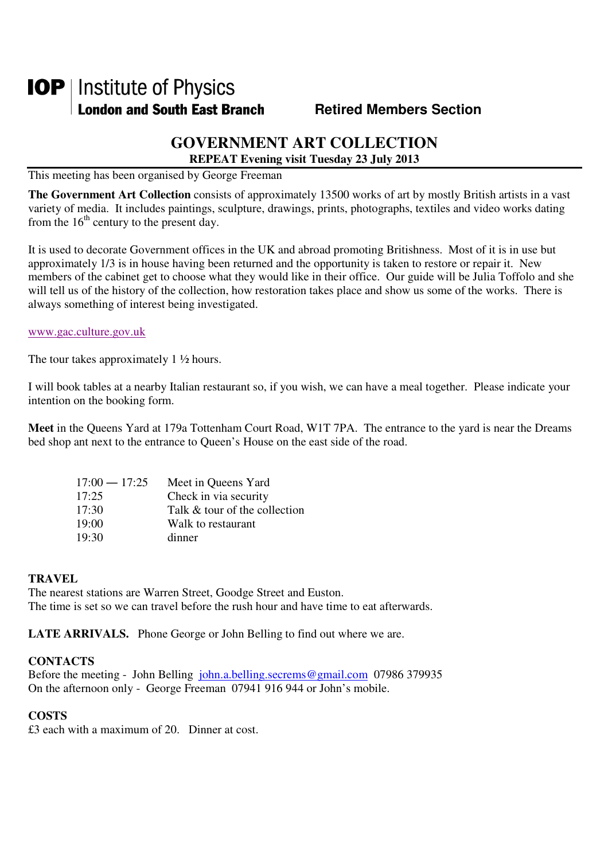# **IOP** | Institute of Physics **London and South East Branch Fighter Contract Members Section**

## **GOVERNMENT ART COLLECTION**

**REPEAT Evening visit Tuesday 23 July 2013** 

This meeting has been organised by George Freeman

**The Government Art Collection** consists of approximately 13500 works of art by mostly British artists in a vast variety of media. It includes paintings, sculpture, drawings, prints, photographs, textiles and video works dating from the  $16<sup>th</sup>$  century to the present day.

It is used to decorate Government offices in the UK and abroad promoting Britishness. Most of it is in use but approximately 1/3 is in house having been returned and the opportunity is taken to restore or repair it. New members of the cabinet get to choose what they would like in their office. Our guide will be Julia Toffolo and she will tell us of the history of the collection, how restoration takes place and show us some of the works. There is always something of interest being investigated.

#### www.gac.culture.gov.uk

The tour takes approximately 1  $\frac{1}{2}$  hours.

I will book tables at a nearby Italian restaurant so, if you wish, we can have a meal together. Please indicate your intention on the booking form.

**Meet** in the Queens Yard at 179a Tottenham Court Road, W1T 7PA. The entrance to the yard is near the Dreams bed shop ant next to the entrance to Queen's House on the east side of the road.

| $17:00 - 17:25$ | Meet in Queens Yard           |
|-----------------|-------------------------------|
| 17:25           | Check in via security         |
| 17:30           | Talk & tour of the collection |
| 19:00           | Walk to restaurant            |
| 19:30           | dinner                        |

### **TRAVEL**

The nearest stations are Warren Street, Goodge Street and Euston. The time is set so we can travel before the rush hour and have time to eat afterwards.

**LATE ARRIVALS.** Phone George or John Belling to find out where we are.

#### **CONTACTS**

Before the meeting - John Belling john.a.belling.secrems@gmail.com 07986 379935 On the afternoon only - George Freeman 07941 916 944 or John's mobile.

#### **COSTS**

£3 each with a maximum of 20. Dinner at cost.